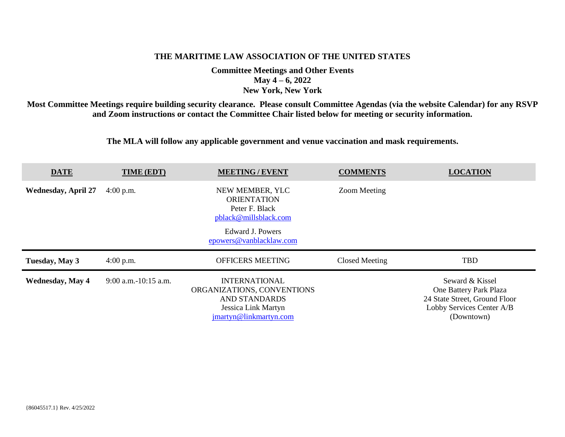## **THE MARITIME LAW ASSOCIATION OF THE UNITED STATES**

**Committee Meetings and Other Events May 4 – 6, 2022 New York, New York**

**Most Committee Meetings require building security clearance. Please consult Committee Agendas (via the website Calendar) for any RSVP and Zoom instructions or contact the Committee Chair listed below for meeting or security information.**

**The MLA will follow any applicable government and venue vaccination and mask requirements.**

| <b>DATE</b>                | TIME (EDT)             | <b>MEETING / EVENT</b>                                                                                                          | <b>COMMENTS</b>     | <b>LOCATION</b>                                                                                                       |
|----------------------------|------------------------|---------------------------------------------------------------------------------------------------------------------------------|---------------------|-----------------------------------------------------------------------------------------------------------------------|
| <b>Wednesday, April 27</b> | $4:00$ p.m.            | NEW MEMBER, YLC<br><b>ORIENTATION</b><br>Peter F. Black<br>pblack@millsblack.com<br>Edward J. Powers<br>epowers@vanblacklaw.com | <b>Zoom Meeting</b> |                                                                                                                       |
| Tuesday, May 3             | $4:00$ p.m.            | <b>OFFICERS MEETING</b>                                                                                                         | Closed Meeting      | <b>TBD</b>                                                                                                            |
| <b>Wednesday, May 4</b>    | $9:00$ a.m.-10:15 a.m. | <b>INTERNATIONAL</b><br>ORGANIZATIONS, CONVENTIONS<br><b>AND STANDARDS</b><br>Jessica Link Martyn<br>jmartyn@linkmartyn.com     |                     | Seward & Kissel<br>One Battery Park Plaza<br>24 State Street, Ground Floor<br>Lobby Services Center A/B<br>(Downtown) |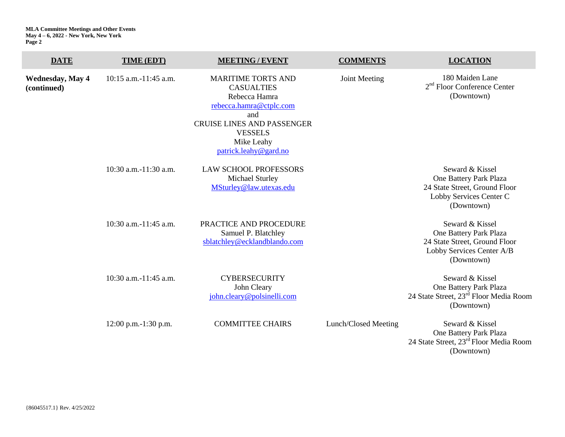| <b>DATE</b>                            | TIME (EDT)                 | <b>MEETING/EVENT</b>                                                                                                                                                                            | <b>COMMENTS</b>      | <b>LOCATION</b>                                                                                                       |
|----------------------------------------|----------------------------|-------------------------------------------------------------------------------------------------------------------------------------------------------------------------------------------------|----------------------|-----------------------------------------------------------------------------------------------------------------------|
| <b>Wednesday, May 4</b><br>(continued) | $10:15$ a.m. $-11:45$ a.m. | <b>MARITIME TORTS AND</b><br><b>CASUALTIES</b><br>Rebecca Hamra<br>rebecca.hamra@ctplc.com<br>and<br><b>CRUISE LINES AND PASSENGER</b><br><b>VESSELS</b><br>Mike Leahy<br>patrick.leahy@gard.no | Joint Meeting        | 180 Maiden Lane<br>$2nd$ Floor Conference Center<br>(Downtown)                                                        |
|                                        | 10:30 a.m.-11:30 a.m.      | <b>LAW SCHOOL PROFESSORS</b><br>Michael Sturley<br>MSturley@law.utexas.edu                                                                                                                      |                      | Seward & Kissel<br>One Battery Park Plaza<br>24 State Street, Ground Floor<br>Lobby Services Center C<br>(Downtown)   |
|                                        | 10:30 a.m.-11:45 a.m.      | PRACTICE AND PROCEDURE<br>Samuel P. Blatchley<br>sblatchley@ecklandblando.com                                                                                                                   |                      | Seward & Kissel<br>One Battery Park Plaza<br>24 State Street, Ground Floor<br>Lobby Services Center A/B<br>(Downtown) |
|                                        | 10:30 a.m.-11:45 a.m.      | <b>CYBERSECURITY</b><br>John Cleary<br>john.cleary@polsinelli.com                                                                                                                               |                      | Seward & Kissel<br>One Battery Park Plaza<br>24 State Street, 23 <sup>rd</sup> Floor Media Room<br>(Downtown)         |
|                                        | 12:00 p.m.-1:30 p.m.       | <b>COMMITTEE CHAIRS</b>                                                                                                                                                                         | Lunch/Closed Meeting | Seward & Kissel<br>One Battery Park Plaza<br>24 State Street, 23 <sup>rd</sup> Floor Media Room<br>(Downtown)         |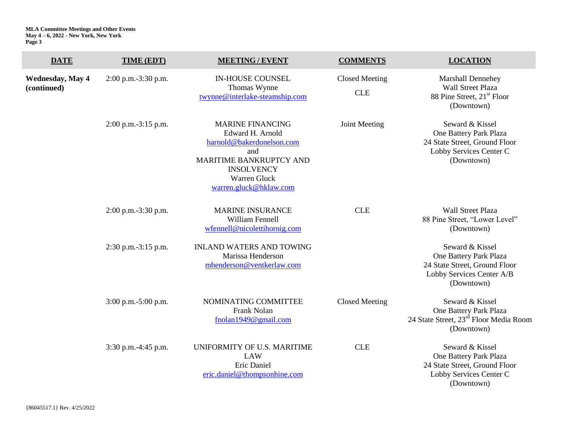| <b>DATE</b>                            | TIME (EDT)            | <b>MEETING / EVENT</b>                                                                                                                                                    | <b>COMMENTS</b>                     | <b>LOCATION</b>                                                                                                       |
|----------------------------------------|-----------------------|---------------------------------------------------------------------------------------------------------------------------------------------------------------------------|-------------------------------------|-----------------------------------------------------------------------------------------------------------------------|
| <b>Wednesday, May 4</b><br>(continued) | 2:00 p.m.-3:30 p.m.   | <b>IN-HOUSE COUNSEL</b><br>Thomas Wynne<br>twynne@interlake-steamship.com                                                                                                 | <b>Closed Meeting</b><br><b>CLE</b> | Marshall Dennehey<br><b>Wall Street Plaza</b><br>88 Pine Street, 21 <sup>st</sup> Floor<br>(Downtown)                 |
|                                        | 2:00 p.m.-3:15 p.m.   | <b>MARINE FINANCING</b><br>Edward H. Arnold<br>harnold@bakerdonelson.com<br>and<br>MARITIME BANKRUPTCY AND<br><b>INSOLVENCY</b><br>Warren Gluck<br>warren.gluck@hklaw.com | Joint Meeting                       | Seward & Kissel<br>One Battery Park Plaza<br>24 State Street, Ground Floor<br>Lobby Services Center C<br>(Downtown)   |
|                                        | 2:00 p.m.-3:30 p.m.   | <b>MARINE INSURANCE</b><br><b>William Fennell</b><br>wfennell@nicolettihornig.com                                                                                         | <b>CLE</b>                          | <b>Wall Street Plaza</b><br>88 Pine Street, "Lower Level"<br>(Downtown)                                               |
|                                        | 2:30 p.m.-3:15 p.m.   | <b>INLAND WATERS AND TOWING</b><br>Marissa Henderson<br>mhenderson@ventkerlaw.com                                                                                         |                                     | Seward & Kissel<br>One Battery Park Plaza<br>24 State Street, Ground Floor<br>Lobby Services Center A/B<br>(Downtown) |
|                                        | $3:00$ p.m.-5:00 p.m. | NOMINATING COMMITTEE<br><b>Frank Nolan</b><br>fnolan1949@gmail.com                                                                                                        | <b>Closed Meeting</b>               | Seward & Kissel<br>One Battery Park Plaza<br>24 State Street, 23rd Floor Media Room<br>(Downtown)                     |
|                                        | 3:30 p.m.-4:45 p.m.   | UNIFORMITY OF U.S. MARITIME<br><b>LAW</b><br>Eric Daniel<br>eric.daniel@thompsonhine.com                                                                                  | <b>CLE</b>                          | Seward & Kissel<br>One Battery Park Plaza<br>24 State Street, Ground Floor<br>Lobby Services Center C                 |

(Downtown)

{86045517.1} Rev. 4/25/2022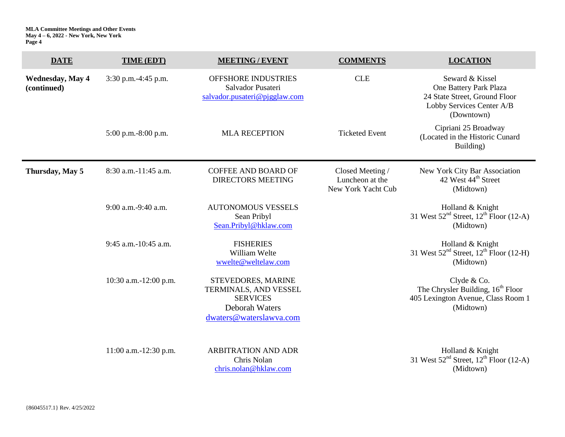| <b>DATE</b>                            | TIME (EDT)            | <b>MEETING / EVENT</b>                                                                                      | <b>COMMENTS</b>                                           | <b>LOCATION</b>                                                                                                       |
|----------------------------------------|-----------------------|-------------------------------------------------------------------------------------------------------------|-----------------------------------------------------------|-----------------------------------------------------------------------------------------------------------------------|
| <b>Wednesday, May 4</b><br>(continued) | 3:30 p.m.-4:45 p.m.   | OFFSHORE INDUSTRIES<br>Salvador Pusateri<br>salvador.pusateri@pjgglaw.com                                   | <b>CLE</b>                                                | Seward & Kissel<br>One Battery Park Plaza<br>24 State Street, Ground Floor<br>Lobby Services Center A/B<br>(Downtown) |
|                                        | 5:00 p.m.-8:00 p.m.   | <b>MLA RECEPTION</b>                                                                                        | <b>Ticketed Event</b>                                     | Cipriani 25 Broadway<br>(Located in the Historic Cunard<br>Building)                                                  |
| Thursday, May 5                        | 8:30 a.m.-11:45 a.m.  | <b>COFFEE AND BOARD OF</b><br><b>DIRECTORS MEETING</b>                                                      | Closed Meeting /<br>Luncheon at the<br>New York Yacht Cub | New York City Bar Association<br>42 West 44 <sup>th</sup> Street<br>(Midtown)                                         |
|                                        | 9:00 a.m.-9:40 a.m.   | <b>AUTONOMOUS VESSELS</b><br>Sean Pribyl<br>Sean.Pribyl@hklaw.com                                           |                                                           | Holland & Knight<br>31 West $52nd Street$ , $12th Floor$ (12-A)<br>(Midtown)                                          |
|                                        | 9:45 a.m.-10:45 a.m.  | <b>FISHERIES</b><br>William Welte<br>wwelte@weltelaw.com                                                    |                                                           | Holland & Knight<br>31 West $52nd$ Street, $12th$ Floor (12-H)<br>(Midtown)                                           |
|                                        | 10:30 a.m.-12:00 p.m. | STEVEDORES, MARINE<br>TERMINALS, AND VESSEL<br><b>SERVICES</b><br>Deborah Waters<br>dwaters@waterslawva.com |                                                           | Clyde & Co.<br>The Chrysler Building, 16 <sup>th</sup> Floor<br>405 Lexington Avenue, Class Room 1<br>(Midtown)       |
|                                        | 11:00 a.m.-12:30 p.m. | <b>ARBITRATION AND ADR</b><br>Chris Nolan<br>chris.nolan@hklaw.com                                          |                                                           | Holland & Knight<br>31 West $52nd$ Street, $12th$ Floor (12-A)<br>(Midtown)                                           |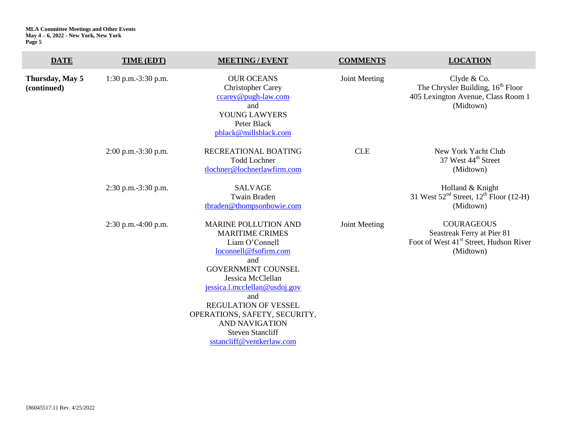| <b>DATE</b>                    | TIME (EDT)            | <b>MEETING / EVENT</b>                                                                                                                                                                                                                                                                                                                             | <b>COMMENTS</b> | <b>LOCATION</b>                                                                                                    |
|--------------------------------|-----------------------|----------------------------------------------------------------------------------------------------------------------------------------------------------------------------------------------------------------------------------------------------------------------------------------------------------------------------------------------------|-----------------|--------------------------------------------------------------------------------------------------------------------|
| Thursday, May 5<br>(continued) | 1:30 p.m.-3:30 p.m.   | <b>OUR OCEANS</b><br><b>Christopher Carey</b><br>ccarey@pugh-law.com<br>and<br>YOUNG LAWYERS<br>Peter Black<br>pblack@millsblack.com                                                                                                                                                                                                               | Joint Meeting   | Clyde & Co.<br>The Chrysler Building, 16 <sup>th</sup> Floor<br>405 Lexington Avenue, Class Room 1<br>(Midtown)    |
|                                | $2:00$ p.m.-3:30 p.m. | RECREATIONAL BOATING<br><b>Todd Lochner</b><br>tlochner@lochnerlawfirm.com                                                                                                                                                                                                                                                                         | <b>CLE</b>      | New York Yacht Club<br>37 West 44 <sup>th</sup> Street<br>(Midtown)                                                |
|                                | $2:30$ p.m.-3:30 p.m. | <b>SALVAGE</b><br><b>Twain Braden</b><br>tbraden@thompsonbowie.com                                                                                                                                                                                                                                                                                 |                 | Holland & Knight<br>31 West $52nd$ Street, $12th$ Floor (12-H)<br>(Midtown)                                        |
|                                | 2:30 p.m.-4:00 p.m.   | <b>MARINE POLLUTION AND</b><br><b>MARITIME CRIMES</b><br>Liam O'Connell<br>loconnell@fsofirm.com<br>and<br><b>GOVERNMENT COUNSEL</b><br>Jessica McClellan<br>jessica.l.mcclellan@usdoj.gov<br>and<br><b>REGULATION OF VESSEL</b><br>OPERATIONS, SAFETY, SECURITY,<br><b>AND NAVIGATION</b><br><b>Steven Stancliff</b><br>sstancliff@ventkerlaw.com | Joint Meeting   | <b>COURAGEOUS</b><br>Seastreak Ferry at Pier 81<br>Foot of West 41 <sup>st</sup> Street, Hudson River<br>(Midtown) |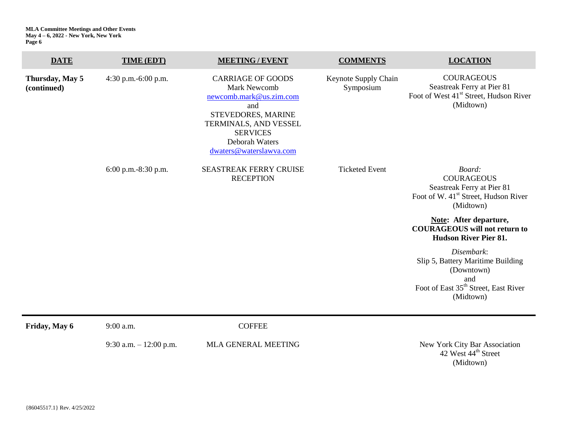| <b>DATE</b>                    | TIME (EDT)              | <b>MEETING / EVENT</b>                                                                                                                                                                    | <b>COMMENTS</b>                   | <b>LOCATION</b>                                                                                                                       |
|--------------------------------|-------------------------|-------------------------------------------------------------------------------------------------------------------------------------------------------------------------------------------|-----------------------------------|---------------------------------------------------------------------------------------------------------------------------------------|
| Thursday, May 5<br>(continued) | 4:30 p.m.-6:00 p.m.     | <b>CARRIAGE OF GOODS</b><br>Mark Newcomb<br>newcomb.mark@us.zim.com<br>and<br>STEVEDORES, MARINE<br>TERMINALS, AND VESSEL<br><b>SERVICES</b><br>Deborah Waters<br>dwaters@waterslawva.com | Keynote Supply Chain<br>Symposium | <b>COURAGEOUS</b><br>Seastreak Ferry at Pier 81<br>Foot of West 41 <sup>st</sup> Street, Hudson River<br>(Midtown)                    |
|                                | 6:00 p.m.-8:30 p.m.     | <b>SEASTREAK FERRY CRUISE</b><br><b>RECEPTION</b>                                                                                                                                         | <b>Ticketed Event</b>             | Board:<br><b>COURAGEOUS</b><br>Seastreak Ferry at Pier 81<br>Foot of W. 41 <sup>st</sup> Street, Hudson River<br>(Midtown)            |
|                                |                         |                                                                                                                                                                                           |                                   | <b>Note:</b> After departure,<br><b>COURAGEOUS</b> will not return to<br><b>Hudson River Pier 81.</b>                                 |
|                                |                         |                                                                                                                                                                                           |                                   | Disembark:<br>Slip 5, Battery Maritime Building<br>(Downtown)<br>and<br>Foot of East 35 <sup>th</sup> Street, East River<br>(Midtown) |
| Friday, May 6                  | 9:00 a.m.               | <b>COFFEE</b>                                                                                                                                                                             |                                   |                                                                                                                                       |
|                                | 9:30 a.m. $-12:00$ p.m. | MLA GENERAL MEETING                                                                                                                                                                       |                                   | New York City Bar Association                                                                                                         |

New York City Bar Association<br>42 West  $44^{\text{th}}$  Street (Midtown)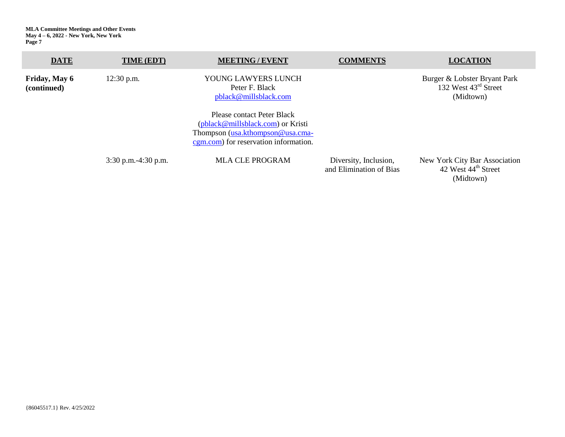| <b>DATE</b>                  | TIME (EDT)               | <b>MEETING/EVENT</b>                                                                                                                         | <b>COMMENTS</b>                                  | <b>LOCATION</b>                                                               |
|------------------------------|--------------------------|----------------------------------------------------------------------------------------------------------------------------------------------|--------------------------------------------------|-------------------------------------------------------------------------------|
| Friday, May 6<br>(continued) | $12:30$ p.m.             | YOUNG LAWYERS LUNCH<br>Peter F. Black<br>pblack@millsblack.com                                                                               |                                                  | Burger & Lobster Bryant Park<br>132 West $43^{\text{rd}}$ Street<br>(Midtown) |
|                              |                          | Please contact Peter Black<br>(pblack@millsblack.com) or Kristi<br>Thompson (usa.kthompson@usa.cma-<br>cgm.com) for reservation information. |                                                  |                                                                               |
|                              | $3:30$ p.m. $-4:30$ p.m. | <b>MLA CLE PROGRAM</b>                                                                                                                       | Diversity, Inclusion,<br>and Elimination of Bias | New York City Bar Association<br>42 West 44 <sup>th</sup> Street              |

(Midtown)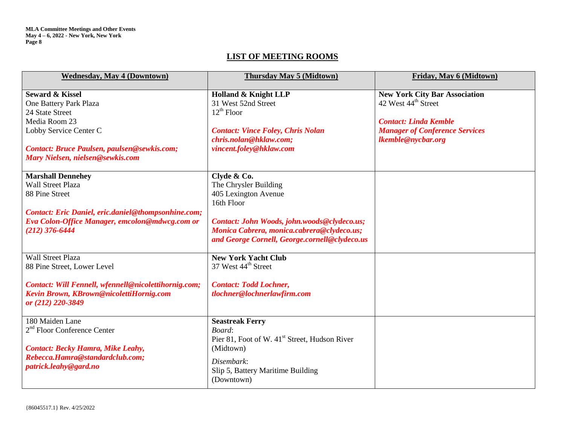## **LIST OF MEETING ROOMS**

| <b>Wednesday, May 4 (Downtown)</b>                                                                                                                                 | Thursday May 5 (Midtown)                                                                                                                                                    | Friday, May 6 (Midtown)                                                                                                                                                |
|--------------------------------------------------------------------------------------------------------------------------------------------------------------------|-----------------------------------------------------------------------------------------------------------------------------------------------------------------------------|------------------------------------------------------------------------------------------------------------------------------------------------------------------------|
| <b>Seward &amp; Kissel</b><br>One Battery Park Plaza<br>24 State Street<br>Media Room 23<br>Lobby Service Center C<br>Contact: Bruce Paulsen, paulsen@sewkis.com;  | Holland & Knight LLP<br>31 West 52nd Street<br>$12^{th}$ Floor<br><b>Contact: Vince Foley, Chris Nolan</b><br>chris.nolan@hklaw.com;<br>vincent.foley@hklaw.com             | <b>New York City Bar Association</b><br>42 West 44 <sup>th</sup> Street<br><b>Contact: Linda Kemble</b><br><b>Manager of Conference Services</b><br>lkemble@nycbar.org |
| Mary Nielsen, nielsen@sewkis.com                                                                                                                                   |                                                                                                                                                                             |                                                                                                                                                                        |
| <b>Marshall Dennehey</b><br><b>Wall Street Plaza</b><br>88 Pine Street                                                                                             | Clyde & Co.<br>The Chrysler Building<br>405 Lexington Avenue<br>16th Floor                                                                                                  |                                                                                                                                                                        |
| Contact: Eric Daniel, eric.daniel@thompsonhine.com;<br>Eva Colon-Office Manager, emcolon@mdwcg.com or<br>$(212)$ 376-6444                                          | Contact: John Woods, john.woods@clydeco.us;<br>Monica Cabrera, monica.cabrera@clydeco.us;<br>and George Cornell, George.cornell@clydeco.us                                  |                                                                                                                                                                        |
| <b>Wall Street Plaza</b><br>88 Pine Street, Lower Level                                                                                                            | <b>New York Yacht Club</b><br>37 West 44 <sup>th</sup> Street                                                                                                               |                                                                                                                                                                        |
| Contact: Will Fennell, wfennell@nicolettihornig.com;<br>Kevin Brown, KBrown@nicolettiHornig.com<br>or (212) 220-3849                                               | <b>Contact: Todd Lochner,</b><br>tlochner@lochnerlawfirm.com                                                                                                                |                                                                                                                                                                        |
| 180 Maiden Lane<br>2 <sup>nd</sup> Floor Conference Center<br><b>Contact: Becky Hamra, Mike Leahy,</b><br>Rebecca.Hamra@standardclub.com;<br>patrick.leahy@gard.no | <b>Seastreak Ferry</b><br>Board:<br>Pier 81, Foot of W. 41 <sup>st</sup> Street, Hudson River<br>(Midtown)<br>Disembark:<br>Slip 5, Battery Maritime Building<br>(Downtown) |                                                                                                                                                                        |